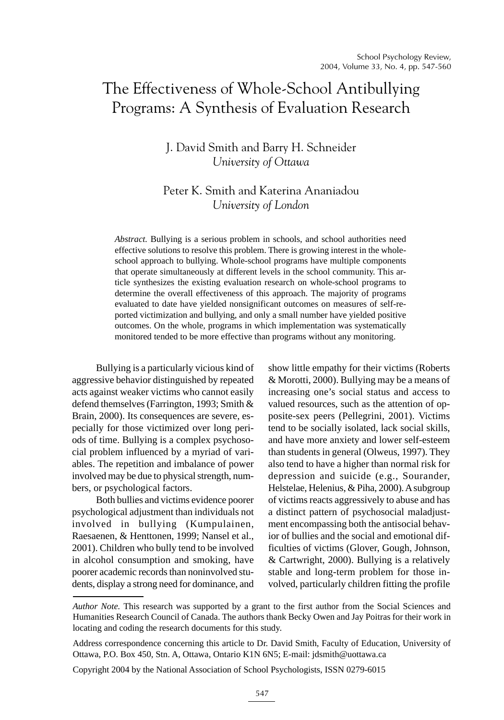# The Effectiveness of Whole-School Antibullying Programs: A Synthesis of Evaluation Research

## J. David Smith and Barry H. Schneider *University of Ottawa*

# Peter K. Smith and Katerina Ananiadou *University of London*

*Abstract.* Bullying is a serious problem in schools, and school authorities need effective solutions to resolve this problem. There is growing interest in the wholeschool approach to bullying. Whole-school programs have multiple components that operate simultaneously at different levels in the school community. This article synthesizes the existing evaluation research on whole-school programs to determine the overall effectiveness of this approach. The majority of programs evaluated to date have yielded nonsignificant outcomes on measures of self-reported victimization and bullying, and only a small number have yielded positive outcomes. On the whole, programs in which implementation was systematically monitored tended to be more effective than programs without any monitoring.

Bullying is a particularly vicious kind of aggressive behavior distinguished by repeated acts against weaker victims who cannot easily defend themselves (Farrington, 1993; Smith & Brain, 2000). Its consequences are severe, especially for those victimized over long periods of time. Bullying is a complex psychosocial problem influenced by a myriad of variables. The repetition and imbalance of power involved may be due to physical strength, numbers, or psychological factors.

Both bullies and victims evidence poorer psychological adjustment than individuals not involved in bullying (Kumpulainen, Raesaenen, & Henttonen, 1999; Nansel et al., 2001). Children who bully tend to be involved in alcohol consumption and smoking, have poorer academic records than noninvolved students, display a strong need for dominance, and show little empathy for their victims (Roberts & Morotti, 2000). Bullying may be a means of increasing one's social status and access to valued resources, such as the attention of opposite-sex peers (Pellegrini, 2001). Victims tend to be socially isolated, lack social skills, and have more anxiety and lower self-esteem than students in general (Olweus, 1997). They also tend to have a higher than normal risk for depression and suicide (e.g., Sourander, Helstelae, Helenius, & Piha, 2000). A subgroup of victims reacts aggressively to abuse and has a distinct pattern of psychosocial maladjustment encompassing both the antisocial behavior of bullies and the social and emotional difficulties of victims (Glover, Gough, Johnson, & Cartwright, 2000). Bullying is a relatively stable and long-term problem for those involved, particularly children fitting the profile

Copyright 2004 by the National Association of School Psychologists, ISSN 0279-6015

*Author Note.* This research was supported by a grant to the first author from the Social Sciences and Humanities Research Council of Canada. The authors thank Becky Owen and Jay Poitras for their work in locating and coding the research documents for this study.

Address correspondence concerning this article to Dr. David Smith, Faculty of Education, University of Ottawa, P.O. Box 450, Stn. A, Ottawa, Ontario K1N 6N5; E-mail: jdsmith@uottawa.ca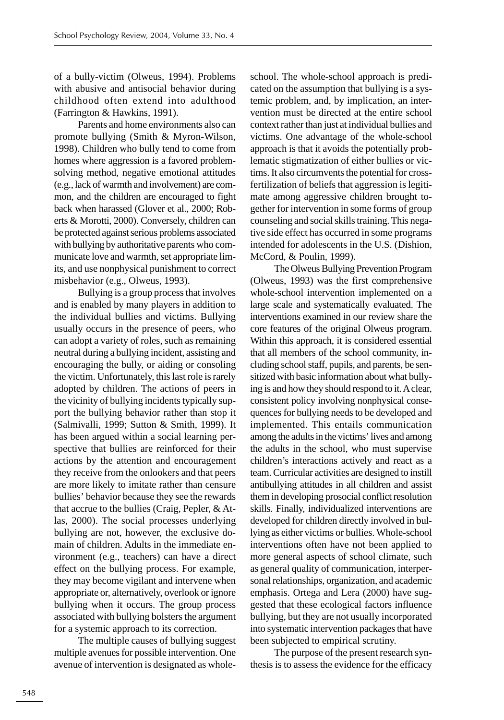of a bully-victim (Olweus, 1994). Problems with abusive and antisocial behavior during childhood often extend into adulthood (Farrington & Hawkins, 1991).

Parents and home environments also can promote bullying (Smith & Myron-Wilson, 1998). Children who bully tend to come from homes where aggression is a favored problemsolving method, negative emotional attitudes (e.g., lack of warmth and involvement) are common, and the children are encouraged to fight back when harassed (Glover et al., 2000; Roberts & Morotti, 2000). Conversely, children can be protected against serious problems associated with bullying by authoritative parents who communicate love and warmth, set appropriate limits, and use nonphysical punishment to correct misbehavior (e.g., Olweus, 1993).

Bullying is a group process that involves and is enabled by many players in addition to the individual bullies and victims. Bullying usually occurs in the presence of peers, who can adopt a variety of roles, such as remaining neutral during a bullying incident, assisting and encouraging the bully, or aiding or consoling the victim. Unfortunately, this last role is rarely adopted by children. The actions of peers in the vicinity of bullying incidents typically support the bullying behavior rather than stop it (Salmivalli, 1999; Sutton & Smith, 1999). It has been argued within a social learning perspective that bullies are reinforced for their actions by the attention and encouragement they receive from the onlookers and that peers are more likely to imitate rather than censure bullies' behavior because they see the rewards that accrue to the bullies (Craig, Pepler, & Atlas, 2000). The social processes underlying bullying are not, however, the exclusive domain of children. Adults in the immediate environment (e.g., teachers) can have a direct effect on the bullying process. For example, they may become vigilant and intervene when appropriate or, alternatively, overlook or ignore bullying when it occurs. The group process associated with bullying bolsters the argument for a systemic approach to its correction.

The multiple causes of bullying suggest multiple avenues for possible intervention. One avenue of intervention is designated as wholeschool. The whole-school approach is predicated on the assumption that bullying is a systemic problem, and, by implication, an intervention must be directed at the entire school context rather than just at individual bullies and victims. One advantage of the whole-school approach is that it avoids the potentially problematic stigmatization of either bullies or victims. It also circumvents the potential for crossfertilization of beliefs that aggression is legitimate among aggressive children brought together for intervention in some forms of group counseling and social skills training. This negative side effect has occurred in some programs intended for adolescents in the U.S. (Dishion, McCord, & Poulin, 1999).

The Olweus Bullying Prevention Program (Olweus, 1993) was the first comprehensive whole-school intervention implemented on a large scale and systematically evaluated. The interventions examined in our review share the core features of the original Olweus program. Within this approach, it is considered essential that all members of the school community, including school staff, pupils, and parents, be sensitized with basic information about what bullying is and how they should respond to it. A clear, consistent policy involving nonphysical consequences for bullying needs to be developed and implemented. This entails communication among the adults in the victims' lives and among the adults in the school, who must supervise children's interactions actively and react as a team. Curricular activities are designed to instill antibullying attitudes in all children and assist them in developing prosocial conflict resolution skills. Finally, individualized interventions are developed for children directly involved in bullying as either victims or bullies. Whole-school interventions often have not been applied to more general aspects of school climate, such as general quality of communication, interpersonal relationships, organization, and academic emphasis. Ortega and Lera (2000) have suggested that these ecological factors influence bullying, but they are not usually incorporated into systematic intervention packages that have been subjected to empirical scrutiny.

The purpose of the present research synthesis is to assess the evidence for the efficacy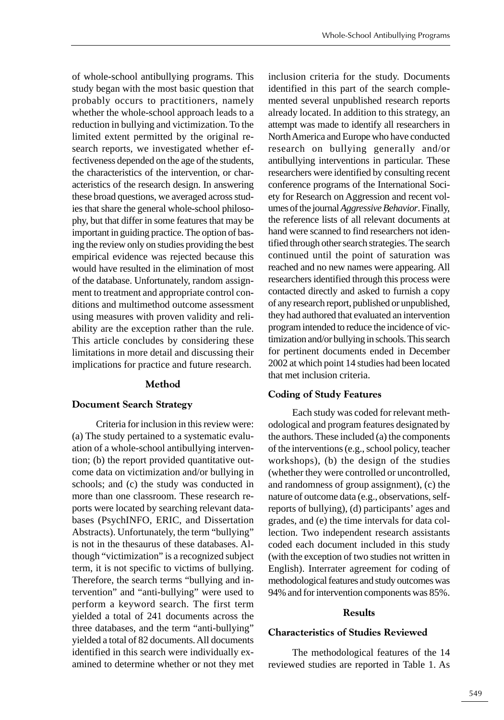of whole-school antibullying programs. This study began with the most basic question that probably occurs to practitioners, namely whether the whole-school approach leads to a reduction in bullying and victimization. To the limited extent permitted by the original research reports, we investigated whether effectiveness depended on the age of the students, the characteristics of the intervention, or characteristics of the research design. In answering these broad questions, we averaged across studies that share the general whole-school philosophy, but that differ in some features that may be important in guiding practice. The option of basing the review only on studies providing the best empirical evidence was rejected because this would have resulted in the elimination of most of the database. Unfortunately, random assignment to treatment and appropriate control conditions and multimethod outcome assessment using measures with proven validity and reliability are the exception rather than the rule. This article concludes by considering these limitations in more detail and discussing their implications for practice and future research.

## **Method**

## **Document Search Strategy**

Criteria for inclusion in this review were: (a) The study pertained to a systematic evaluation of a whole-school antibullying intervention; (b) the report provided quantitative outcome data on victimization and/or bullying in schools; and (c) the study was conducted in more than one classroom. These research reports were located by searching relevant databases (PsychINFO, ERIC, and Dissertation Abstracts). Unfortunately, the term "bullying" is not in the thesaurus of these databases. Although "victimization" is a recognized subject term, it is not specific to victims of bullying. Therefore, the search terms "bullying and intervention" and "anti-bullying" were used to perform a keyword search. The first term yielded a total of 241 documents across the three databases, and the term "anti-bullying" yielded a total of 82 documents. All documents identified in this search were individually examined to determine whether or not they met inclusion criteria for the study. Documents identified in this part of the search complemented several unpublished research reports already located. In addition to this strategy, an attempt was made to identify all researchers in North America and Europe who have conducted research on bullying generally and/or antibullying interventions in particular. These researchers were identified by consulting recent conference programs of the International Society for Research on Aggression and recent volumes of the journal *Aggressive Behavior*. Finally, the reference lists of all relevant documents at hand were scanned to find researchers not identified through other search strategies. The search continued until the point of saturation was reached and no new names were appearing. All researchers identified through this process were contacted directly and asked to furnish a copy of any research report, published or unpublished, they had authored that evaluated an intervention program intended to reduce the incidence of victimization and/or bullying in schools. This search for pertinent documents ended in December 2002 at which point 14 studies had been located that met inclusion criteria.

## **Coding of Study Features**

Each study was coded for relevant methodological and program features designated by the authors. These included (a) the components of the interventions (e.g., school policy, teacher workshops), (b) the design of the studies (whether they were controlled or uncontrolled, and randomness of group assignment), (c) the nature of outcome data (e.g., observations, selfreports of bullying), (d) participants' ages and grades, and (e) the time intervals for data collection. Two independent research assistants coded each document included in this study (with the exception of two studies not written in English). Interrater agreement for coding of methodological features and study outcomes was 94% and for intervention components was 85%.

## **Results**

## **Characteristics of Studies Reviewed**

The methodological features of the 14 reviewed studies are reported in Table 1. As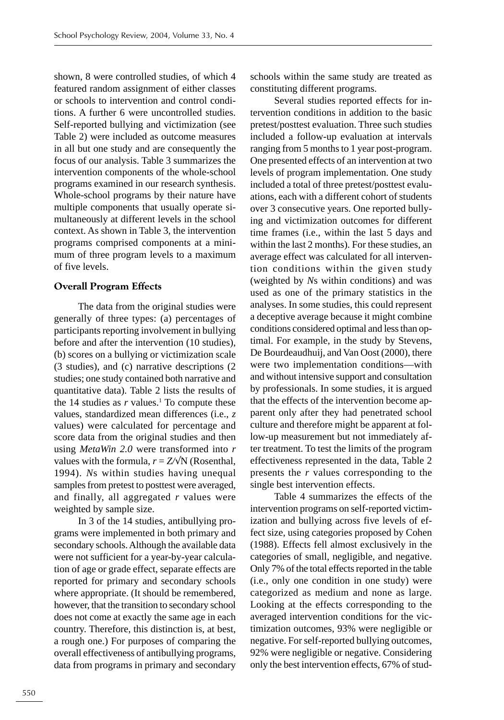shown, 8 were controlled studies, of which 4 featured random assignment of either classes or schools to intervention and control conditions. A further 6 were uncontrolled studies. Self-reported bullying and victimization (see Table 2) were included as outcome measures in all but one study and are consequently the focus of our analysis. Table 3 summarizes the intervention components of the whole-school programs examined in our research synthesis. Whole-school programs by their nature have multiple components that usually operate simultaneously at different levels in the school context. As shown in Table 3, the intervention programs comprised components at a minimum of three program levels to a maximum of five levels.

## **Overall Program Effects**

The data from the original studies were generally of three types: (a) percentages of participants reporting involvement in bullying before and after the intervention (10 studies), (b) scores on a bullying or victimization scale (3 studies), and (c) narrative descriptions (2 studies; one study contained both narrative and quantitative data). Table 2 lists the results of the  $14$  studies as  $r$  values.<sup>1</sup> To compute these values, standardized mean differences (i.e., *z* values) were calculated for percentage and score data from the original studies and then using *MetaWin 2.0* were transformed into *r* values with the formula,  $r = Z/N$  (Rosenthal, 1994). *N*s within studies having unequal samples from pretest to posttest were averaged, and finally, all aggregated *r* values were weighted by sample size.

In 3 of the 14 studies, antibullying programs were implemented in both primary and secondary schools. Although the available data were not sufficient for a year-by-year calculation of age or grade effect, separate effects are reported for primary and secondary schools where appropriate. (It should be remembered, however, that the transition to secondary school does not come at exactly the same age in each country. Therefore, this distinction is, at best, a rough one.) For purposes of comparing the overall effectiveness of antibullying programs, data from programs in primary and secondary

schools within the same study are treated as constituting different programs.

Several studies reported effects for intervention conditions in addition to the basic pretest/posttest evaluation. Three such studies included a follow-up evaluation at intervals ranging from 5 months to 1 year post-program. One presented effects of an intervention at two levels of program implementation. One study included a total of three pretest/posttest evaluations, each with a different cohort of students over 3 consecutive years. One reported bullying and victimization outcomes for different time frames (i.e., within the last 5 days and within the last 2 months). For these studies, an average effect was calculated for all intervention conditions within the given study (weighted by *N*s within conditions) and was used as one of the primary statistics in the analyses. In some studies, this could represent a deceptive average because it might combine conditions considered optimal and less than optimal. For example, in the study by Stevens, De Bourdeaudhuij, and Van Oost (2000), there were two implementation conditions—with and without intensive support and consultation by professionals. In some studies, it is argued that the effects of the intervention become apparent only after they had penetrated school culture and therefore might be apparent at follow-up measurement but not immediately after treatment. To test the limits of the program effectiveness represented in the data, Table 2 presents the *r* values corresponding to the single best intervention effects.

Table 4 summarizes the effects of the intervention programs on self-reported victimization and bullying across five levels of effect size, using categories proposed by Cohen (1988). Effects fell almost exclusively in the categories of small, negligible, and negative. Only 7% of the total effects reported in the table (i.e., only one condition in one study) were categorized as medium and none as large. Looking at the effects corresponding to the averaged intervention conditions for the victimization outcomes, 93% were negligible or negative. For self-reported bullying outcomes, 92% were negligible or negative. Considering only the best intervention effects, 67% of stud-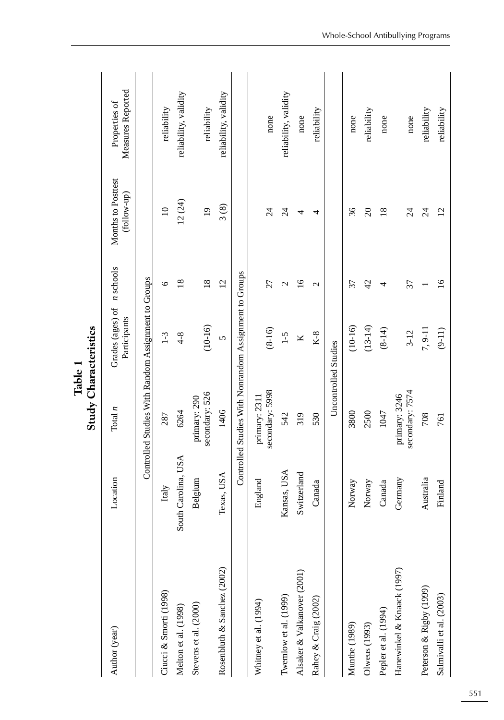|                             |                     |                                                        | <b>Study Characteristics</b><br>Tammic T   |                 |                                   |                                    |
|-----------------------------|---------------------|--------------------------------------------------------|--------------------------------------------|-----------------|-----------------------------------|------------------------------------|
| Author (year)               | Location            | Total $n$                                              | Grades (ages) of n schools<br>Participants |                 | Months to Posttest<br>(follow-up) | Measures Reported<br>Properties of |
|                             |                     | Controlled Studies With Random Assignment to Groups    |                                            |                 |                                   |                                    |
| Ciucci & Smorti (1998)      | Italy               | 287                                                    | $1-3$                                      | $\circ$         | $\overline{10}$                   | reliability                        |
| Melton et al. (1998)        | South Carolina, USA | 6264                                                   | $4 - 8$                                    | $\frac{8}{18}$  | 12(24)                            | reliability, validity              |
| Stevens et al. (2000)       | Belgium             | secondary: 526<br>primary: 290                         | $(10-16)$                                  | $\frac{8}{18}$  | $\overline{0}$                    | reliability                        |
| Rosenbluth & Sanchez (2002) | Texas, USA          | 1406                                                   | $\sqrt{ }$                                 | $\overline{c}$  | 3(8)                              | reliability, validity              |
|                             |                     | Controlled Studies With Nonrandom Assignment to Groups |                                            |                 |                                   |                                    |
| Whitney et al. (1994)       | England             | secondary: 5998<br>primary: 2311                       | $(8-16)$                                   | 27              | $\overline{24}$                   | none                               |
| Twemlow et al. (1999)       | Kansas, USA         | 542                                                    | $1 - 5$                                    | $\mathcal{C}$   | $\overline{24}$                   | reliability, validity              |
| Alsaker & Valkanover (2001) | Switzerland         | 319                                                    | Κ                                          | $\overline{16}$ | 4                                 | none                               |
| Rahey & Craig (2002)        | Canada              | 530                                                    | $K-8$                                      | $\mathbf{C}$    | 4                                 | reliability                        |
|                             |                     |                                                        | Uncontrolled Studies                       |                 |                                   |                                    |
| Munthe (1989)               | Norway              | 3800                                                   | $(10-16)$                                  | 37              | 36                                | none                               |
| Olweus (1993)               | Norway              | 2500                                                   | $(13-14)$                                  | 42              | $\overline{c}$                    | reliability                        |
| Pepler et al. (1994)        | Canada              | 1047                                                   | $(8-14)$                                   | 4               | $\overline{18}$                   | none                               |
| Hanewinkel & Knaack (1997)  | Germany             | secondary: 7574<br>primary: 3246                       | $3-12$                                     | 37              | 24                                | none                               |
| Peterson & Rigby (1999)     | Australia           | 708                                                    | 7, 9-11                                    |                 | $\overline{24}$                   | reliability                        |
| Salmivalli et al. (2003)    | Finland             | 761                                                    | $(9-11)$                                   | $\overline{16}$ | $\overline{c}$                    | reliability                        |

**Table 1**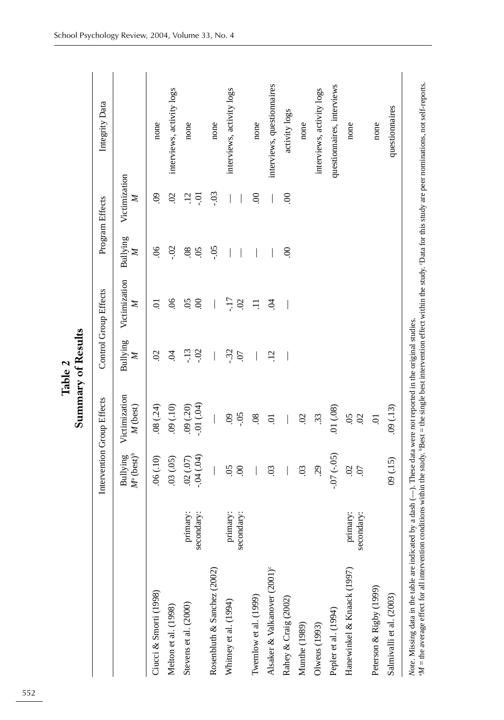|                                          |                        |                                             | Summary of Results                   |                          |                            |                                  |                    |                            |
|------------------------------------------|------------------------|---------------------------------------------|--------------------------------------|--------------------------|----------------------------|----------------------------------|--------------------|----------------------------|
|                                          |                        |                                             | Intervention Group Effects           |                          | Control Group Effects      |                                  | Program Effects    | Integrity Data             |
|                                          |                        | $M^{\circ}$ (best) <sup>b</sup><br>Bullying | Victimization<br>M (best)            | Bullying<br>$\mathbb{Z}$ | Victimization<br>Z         | Bullying<br>$\mathbb{Z}$         | Victimization<br>Z |                            |
| Ciucci & Smorti (1998)                   |                        | .06(.10)                                    | (24)                                 | $\mathcal{S}$            | ៑                          | $\frac{8}{2}$                    | $\overline{6}$     | none                       |
| Melton et al. (1998)                     |                        | .03(.05)                                    | (01, 00)                             | Ŕ                        | 06                         | SO.                              | $\mathcal{S}$      | interviews, activity logs  |
| Stevens et al. (2000)                    | primary:<br>secondary: | $-0.04(04)$<br>(02)(07)                     | $(40')$ [0.-<br>.09(.20)             | $-02$<br>$-13$           | $\overline{5}$<br>$\infty$ | $\overline{0}$<br>$\overline{0}$ | $\ddot{5}$<br>៑    | none                       |
| Rosenbluth & Sanchez (2002)              |                        |                                             |                                      |                          |                            | $-0.5$                           | $-0.3$             | none                       |
| Whitney et al. (1994)                    | primary:<br>secondary: | $\overline{5}$<br>$\mathcal{S}$             | $-0.5$<br>$\ddot{\mathrm{S}}$        | $-32$<br>07              | -17<br>$\mathcal{S}$       |                                  |                    | interviews, activity logs  |
| Twemlow et al. (1999)                    |                        |                                             | .08                                  |                          |                            |                                  | S.                 | none                       |
| Alsaker & Valkanover (2001) <sup>e</sup> |                        | $\overline{0}$                              | ā                                    | $\overline{12}$          | S.                         |                                  |                    | interviews, questionnaires |
| Rahey & Craig (2002)                     |                        |                                             |                                      |                          |                            | $\mathcal{S}$                    | $\odot$            | activity logs              |
| Munthe (1989)                            |                        | $\overline{0}$                              | $\overline{0}$                       |                          |                            |                                  |                    | none                       |
| Olweus (1993)                            |                        | 29                                          | 33                                   |                          |                            |                                  |                    | interviews, activity logs  |
| Pepler et al. (1994)                     |                        | $-07 (-05)$                                 | .01(0.08)                            |                          |                            |                                  |                    | questionnaires, interviews |
| Hanewinkel & Knaack (1997)               | primary:<br>secondary: | $\mathcal{S}$<br>$\overline{0}$             | $\ddot{\mathrm{S}}$<br>$\mathcal{S}$ |                          |                            |                                  |                    | none                       |
| Peterson & Rigby (1999)                  |                        |                                             | 5.                                   |                          |                            |                                  |                    | none                       |
| Salmivalli et al. (2003)                 |                        | 09(.15)                                     | (0.13)                               |                          |                            |                                  |                    | questionnaires             |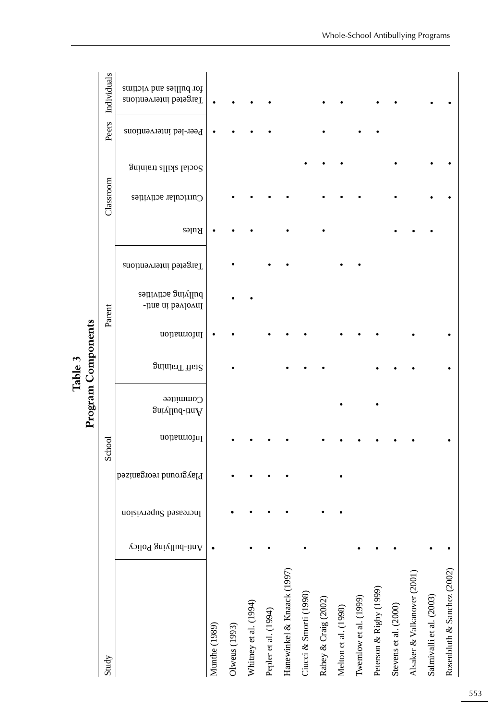|                             |                      |                       |                        |             |                            | Table 3        |             |                                          |                       |       |                       |                      |                        |                                                   |
|-----------------------------|----------------------|-----------------------|------------------------|-------------|----------------------------|----------------|-------------|------------------------------------------|-----------------------|-------|-----------------------|----------------------|------------------------|---------------------------------------------------|
|                             |                      |                       |                        |             | Program Components         |                |             |                                          |                       |       |                       |                      |                        |                                                   |
| Study                       |                      |                       |                        | School      |                            |                | Parent      |                                          |                       |       | Classroom             |                      | Peers                  | Individuals                                       |
|                             | Anti-bullying Policy | Increased Supervision | Playground reorganized | Information | Committee<br>Anti-bullying | Staff Training | Information | bullying activities<br>Involved in anti- | Targeted intervenions | Rules | Curricular activities | Social sllide laiong | Peer-led interventions | for bullies and victims<br>Targeted interventions |
| Munthe (1989)               |                      |                       |                        |             |                            |                |             |                                          |                       |       |                       |                      |                        |                                                   |
| Olweus (1993)               |                      |                       |                        |             |                            |                |             |                                          |                       |       |                       |                      |                        |                                                   |
| Whitney et al. (1994)       |                      |                       |                        |             |                            |                |             |                                          |                       |       |                       |                      |                        |                                                   |
| Pepler et al. (1994)        |                      |                       |                        |             |                            |                |             |                                          |                       |       |                       |                      |                        |                                                   |
| Hanewinkel & Knaack (1997)  |                      |                       |                        |             |                            |                |             |                                          |                       |       |                       |                      |                        |                                                   |
| Ciucci & Smorti (1998)      |                      |                       |                        |             |                            |                |             |                                          |                       |       |                       |                      |                        |                                                   |
| Rahey & Craig (2002)        |                      |                       |                        |             |                            |                |             |                                          |                       |       |                       |                      |                        |                                                   |
| Melton et al. (1998)        |                      |                       |                        |             |                            |                |             |                                          |                       |       |                       |                      |                        |                                                   |
| Twemlow et al. (1999)       |                      |                       |                        |             |                            |                |             |                                          |                       |       |                       |                      |                        |                                                   |
| Peterson & Rigby (1999)     |                      |                       |                        |             |                            |                |             |                                          |                       |       |                       |                      |                        |                                                   |
| Stevens et al. (2000)       |                      |                       |                        |             |                            |                |             |                                          |                       |       |                       |                      |                        |                                                   |
| Alsaker & Valkanover (2001) |                      |                       |                        |             |                            |                |             |                                          |                       |       |                       |                      |                        |                                                   |
| Salmivalli et al. (2003)    |                      |                       |                        |             |                            |                |             |                                          |                       |       |                       |                      |                        |                                                   |
| Rosenbluth & Sanchez (2002) |                      |                       |                        |             |                            |                |             |                                          |                       |       |                       |                      |                        |                                                   |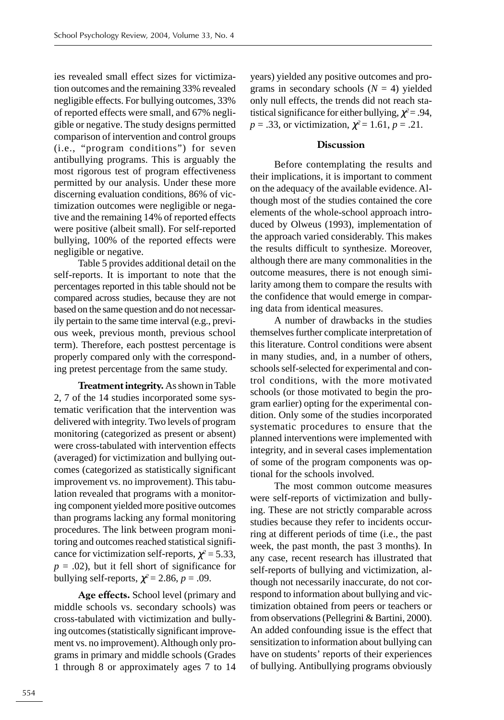ies revealed small effect sizes for victimization outcomes and the remaining 33% revealed negligible effects. For bullying outcomes, 33% of reported effects were small, and 67% negligible or negative. The study designs permitted comparison of intervention and control groups (i.e., "program conditions") for seven antibullying programs. This is arguably the most rigorous test of program effectiveness permitted by our analysis. Under these more discerning evaluation conditions, 86% of victimization outcomes were negligible or negative and the remaining 14% of reported effects were positive (albeit small). For self-reported bullying, 100% of the reported effects were negligible or negative.

Table 5 provides additional detail on the self-reports. It is important to note that the percentages reported in this table should not be compared across studies, because they are not based on the same question and do not necessarily pertain to the same time interval (e.g., previous week, previous month, previous school term). Therefore, each posttest percentage is properly compared only with the corresponding pretest percentage from the same study.

**Treatment integrity.** As shown in Table 2, 7 of the 14 studies incorporated some systematic verification that the intervention was delivered with integrity. Two levels of program monitoring (categorized as present or absent) were cross-tabulated with intervention effects (averaged) for victimization and bullying outcomes (categorized as statistically significant improvement vs. no improvement). This tabulation revealed that programs with a monitoring component yielded more positive outcomes than programs lacking any formal monitoring procedures. The link between program monitoring and outcomes reached statistical significance for victimization self-reports,  $\chi^2$  = 5.33,  $p = .02$ ), but it fell short of significance for bullying self-reports,  $\chi^2$  = 2.86, *p* = .09.

**Age effects.** School level (primary and middle schools vs. secondary schools) was cross-tabulated with victimization and bullying outcomes (statistically significant improvement vs. no improvement). Although only programs in primary and middle schools (Grades 1 through 8 or approximately ages 7 to 14 years) yielded any positive outcomes and programs in secondary schools  $(N = 4)$  yielded only null effects, the trends did not reach statistical significance for either bullying,  $\chi^2$  = .94, *p* = .33, or victimization,  $\chi^2$  = 1.61, *p* = .21.

## **Discussion**

Before contemplating the results and their implications, it is important to comment on the adequacy of the available evidence. Although most of the studies contained the core elements of the whole-school approach introduced by Olweus (1993), implementation of the approach varied considerably. This makes the results difficult to synthesize. Moreover, although there are many commonalities in the outcome measures, there is not enough similarity among them to compare the results with the confidence that would emerge in comparing data from identical measures.

A number of drawbacks in the studies themselves further complicate interpretation of this literature. Control conditions were absent in many studies, and, in a number of others, schools self-selected for experimental and control conditions, with the more motivated schools (or those motivated to begin the program earlier) opting for the experimental condition. Only some of the studies incorporated systematic procedures to ensure that the planned interventions were implemented with integrity, and in several cases implementation of some of the program components was optional for the schools involved.

The most common outcome measures were self-reports of victimization and bullying. These are not strictly comparable across studies because they refer to incidents occurring at different periods of time (i.e., the past week, the past month, the past 3 months). In any case, recent research has illustrated that self-reports of bullying and victimization, although not necessarily inaccurate, do not correspond to information about bullying and victimization obtained from peers or teachers or from observations (Pellegrini & Bartini, 2000). An added confounding issue is the effect that sensitization to information about bullying can have on students' reports of their experiences of bullying. Antibullying programs obviously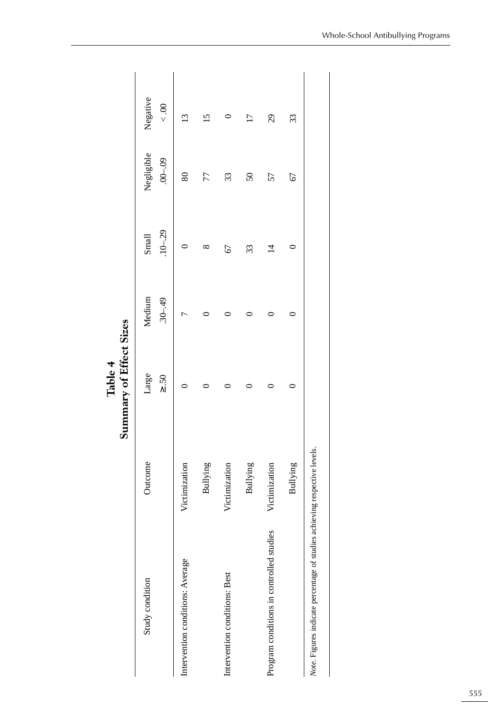|                                                                           |               | Summary of Effect Sizes<br>Table 4 |                       |                      |                           |                     |
|---------------------------------------------------------------------------|---------------|------------------------------------|-----------------------|----------------------|---------------------------|---------------------|
| Study condition                                                           | Outcome       | Large<br>$\geq .50$                | $.30 - .49$<br>Medium | $.10 - .29$<br>Small | Negligible<br>$.00 - .09$ | Negative<br>$< .00$ |
| Intervention conditions: Average                                          | Victimization |                                    |                       |                      | 80                        | $\overline{13}$     |
|                                                                           | Bullying      |                                    |                       | $^{\circ}$           | 77                        |                     |
| Intervention conditions: Best                                             | Victimization |                                    |                       | 67                   | 33                        |                     |
|                                                                           | Bullying      |                                    |                       | 33                   | $50\,$                    | $\overline{17}$     |
| Program conditions in controlled studies                                  | Victimization |                                    |                       | $\overline{4}$       | 57                        | 29                  |
|                                                                           | Bullying      |                                    |                       |                      | 67                        | 33                  |
| Note. Figures indicate percentage of studies achieving respective levels. |               |                                    |                       |                      |                           |                     |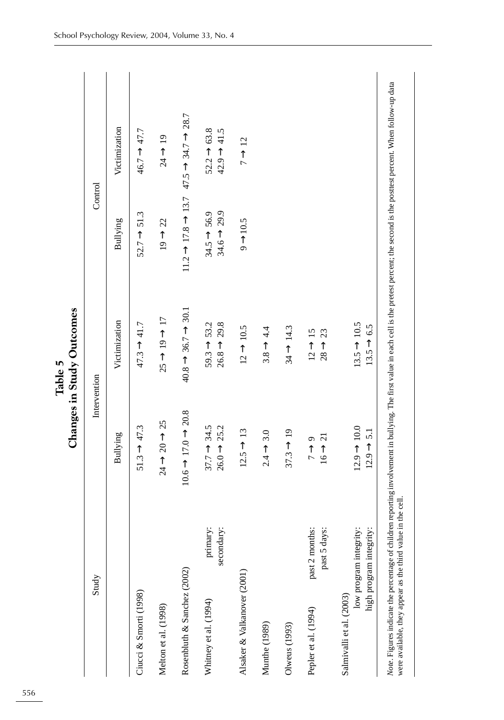|                                                                                                                                                                                                                                                                  |                                                    | Changes in Study Outcomes                          |                                                    |                                                                                   |
|------------------------------------------------------------------------------------------------------------------------------------------------------------------------------------------------------------------------------------------------------------------|----------------------------------------------------|----------------------------------------------------|----------------------------------------------------|-----------------------------------------------------------------------------------|
| Study                                                                                                                                                                                                                                                            |                                                    | Intervention                                       | Control                                            |                                                                                   |
|                                                                                                                                                                                                                                                                  | Bullying                                           | Victimization                                      | Bullying                                           | Victimization                                                                     |
| Ciucci & Smorti (1998)                                                                                                                                                                                                                                           | $51.3 - 47.3$                                      | $47.3 \rightarrow 41.7$                            | $52.7 \rightarrow 51.3$                            | $46.7 \rightarrow 47.7$                                                           |
| Melton et al. (1998)                                                                                                                                                                                                                                             | $24 \rightarrow 20 \rightarrow 25$                 | $25 \rightarrow 19 \rightarrow 17$                 | $19 \rightarrow 22$                                | $24 \rightarrow 19$                                                               |
| Rosenbluth & Sanchez (2002)                                                                                                                                                                                                                                      | $10.6 - 17.0 \rightarrow 20.8$                     | $40.8 \rightarrow 36.7 \rightarrow 30.1$           |                                                    | $11.2 \rightarrow 17.8 \rightarrow 13.7$ $47.5 \rightarrow 34.7 \rightarrow 28.7$ |
| primary:<br>secondary:<br>Whitney et al. (1994)                                                                                                                                                                                                                  | $37.7 \rightarrow 34.5$<br>$26.0 \rightarrow 25.2$ | $26.8 \rightarrow 29.8$<br>$59.3 \rightarrow 53.2$ | $34.6 \rightarrow 29.9$<br>$34.5 \rightarrow 56.9$ | $52.2 \rightarrow 63.8$<br>$42.9 \rightarrow 41.5$                                |
| Alsaker & Valkanover (2001)                                                                                                                                                                                                                                      | $12.5 \rightarrow 13$                              | $12 \rightarrow 10.5$                              | $9 \rightarrow 10.5$                               | $7 \rightarrow 12$                                                                |
| Munthe (1989)                                                                                                                                                                                                                                                    | $2.4 \rightarrow 3.0$                              | $3.8 \rightarrow 4.4$                              |                                                    |                                                                                   |
| $O($ weus $(1993)$                                                                                                                                                                                                                                               | $37.3 \rightarrow 19$                              | $34 \rightarrow 14.3$                              |                                                    |                                                                                   |
| past 2 months:<br>past 5 days:<br>Pepler et al. (1994)                                                                                                                                                                                                           | $16 \rightarrow 21$<br>$7 \rightarrow 9$           | $12 \rightarrow 15$<br>$28 \rightarrow 23$         |                                                    |                                                                                   |
| low program integrity:<br>high program integrity:<br>Salmivalli et al. (2003)                                                                                                                                                                                    | $12.9 \rightarrow 10.0$<br>$12.9 \rightarrow 5.1$  | $13.5 \rightarrow 10.5$<br>$13.5 \rightarrow 6.5$  |                                                    |                                                                                   |
| Note. Figures indicate the percentage of children reporting involvement in bullying. The first value in each cell is the pretest percent; the second is the posttest percent. When follow-up data<br>were available, they appear as the third value in the cell. |                                                    |                                                    |                                                    |                                                                                   |

**Table 5 Changes in Study Outcomes** Ŕ Table 5<br>... Study Ou  $\ddot{\phantom{0}}$ 

556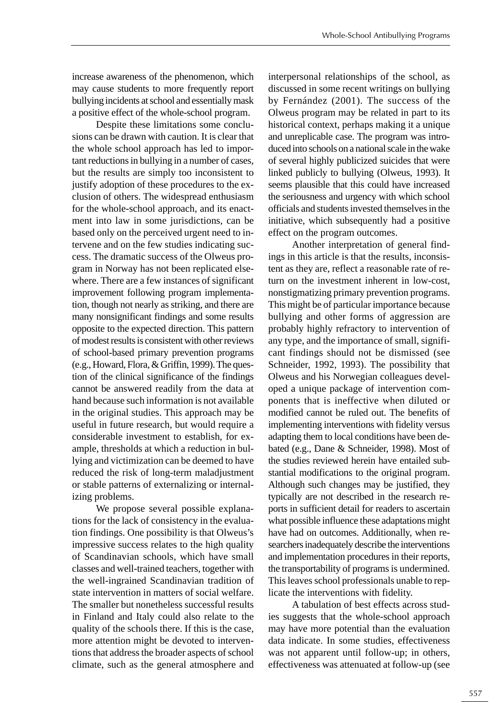increase awareness of the phenomenon, which may cause students to more frequently report bullying incidents at school and essentially mask a positive effect of the whole-school program.

Despite these limitations some conclusions can be drawn with caution. It is clear that the whole school approach has led to important reductions in bullying in a number of cases, but the results are simply too inconsistent to justify adoption of these procedures to the exclusion of others. The widespread enthusiasm for the whole-school approach, and its enactment into law in some jurisdictions, can be based only on the perceived urgent need to intervene and on the few studies indicating success. The dramatic success of the Olweus program in Norway has not been replicated elsewhere. There are a few instances of significant improvement following program implementation, though not nearly as striking, and there are many nonsignificant findings and some results opposite to the expected direction. This pattern of modest results is consistent with other reviews of school-based primary prevention programs (e.g., Howard, Flora, & Griffin, 1999). The question of the clinical significance of the findings cannot be answered readily from the data at hand because such information is not available in the original studies. This approach may be useful in future research, but would require a considerable investment to establish, for example, thresholds at which a reduction in bullying and victimization can be deemed to have reduced the risk of long-term maladjustment or stable patterns of externalizing or internalizing problems.

We propose several possible explanations for the lack of consistency in the evaluation findings. One possibility is that Olweus's impressive success relates to the high quality of Scandinavian schools, which have small classes and well-trained teachers, together with the well-ingrained Scandinavian tradition of state intervention in matters of social welfare. The smaller but nonetheless successful results in Finland and Italy could also relate to the quality of the schools there. If this is the case, more attention might be devoted to interventions that address the broader aspects of school climate, such as the general atmosphere and interpersonal relationships of the school, as discussed in some recent writings on bullying by Fernández (2001). The success of the Olweus program may be related in part to its historical context, perhaps making it a unique and unreplicable case. The program was introduced into schools on a national scale in the wake of several highly publicized suicides that were linked publicly to bullying (Olweus, 1993). It seems plausible that this could have increased the seriousness and urgency with which school officials and students invested themselves in the initiative, which subsequently had a positive effect on the program outcomes.

Another interpretation of general findings in this article is that the results, inconsistent as they are, reflect a reasonable rate of return on the investment inherent in low-cost, nonstigmatizing primary prevention programs. This might be of particular importance because bullying and other forms of aggression are probably highly refractory to intervention of any type, and the importance of small, significant findings should not be dismissed (see Schneider, 1992, 1993). The possibility that Olweus and his Norwegian colleagues developed a unique package of intervention components that is ineffective when diluted or modified cannot be ruled out. The benefits of implementing interventions with fidelity versus adapting them to local conditions have been debated (e.g., Dane & Schneider, 1998). Most of the studies reviewed herein have entailed substantial modifications to the original program. Although such changes may be justified, they typically are not described in the research reports in sufficient detail for readers to ascertain what possible influence these adaptations might have had on outcomes. Additionally, when researchers inadequately describe the interventions and implementation procedures in their reports, the transportability of programs is undermined. This leaves school professionals unable to replicate the interventions with fidelity.

A tabulation of best effects across studies suggests that the whole-school approach may have more potential than the evaluation data indicate. In some studies, effectiveness was not apparent until follow-up; in others, effectiveness was attenuated at follow-up (see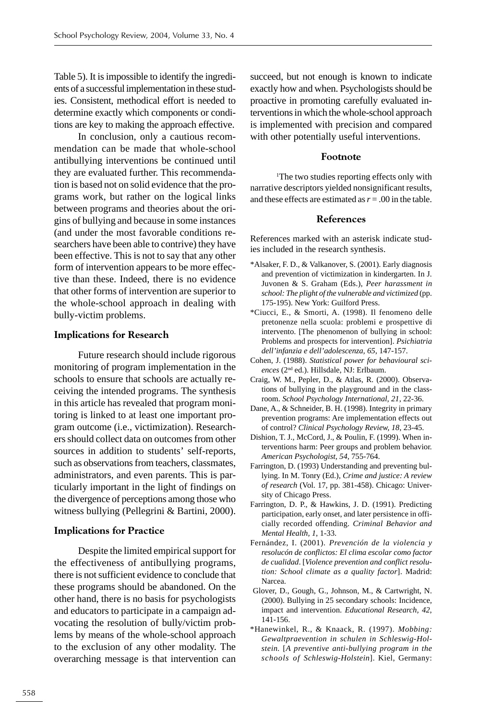Table 5). It is impossible to identify the ingredients of a successful implementation in these studies. Consistent, methodical effort is needed to determine exactly which components or conditions are key to making the approach effective.

In conclusion, only a cautious recommendation can be made that whole-school antibullying interventions be continued until they are evaluated further. This recommendation is based not on solid evidence that the programs work, but rather on the logical links between programs and theories about the origins of bullying and because in some instances (and under the most favorable conditions researchers have been able to contrive) they have been effective. This is not to say that any other form of intervention appears to be more effective than these. Indeed, there is no evidence that other forms of intervention are superior to the whole-school approach in dealing with bully-victim problems.

## **Implications for Research**

Future research should include rigorous monitoring of program implementation in the schools to ensure that schools are actually receiving the intended programs. The synthesis in this article has revealed that program monitoring is linked to at least one important program outcome (i.e., victimization). Researchers should collect data on outcomes from other sources in addition to students' self-reports, such as observations from teachers, classmates, administrators, and even parents. This is particularly important in the light of findings on the divergence of perceptions among those who witness bullying (Pellegrini & Bartini, 2000).

## **Implications for Practice**

Despite the limited empirical support for the effectiveness of antibullying programs, there is not sufficient evidence to conclude that these programs should be abandoned. On the other hand, there is no basis for psychologists and educators to participate in a campaign advocating the resolution of bully/victim problems by means of the whole-school approach to the exclusion of any other modality. The overarching message is that intervention can succeed, but not enough is known to indicate exactly how and when. Psychologists should be proactive in promoting carefully evaluated interventions in which the whole-school approach is implemented with precision and compared with other potentially useful interventions.

## **Footnote**

1 The two studies reporting effects only with narrative descriptors yielded nonsignificant results, and these effects are estimated as  $r = .00$  in the table.

## **References**

References marked with an asterisk indicate studies included in the research synthesis.

- \*Alsaker, F. D., & Valkanover, S. (2001). Early diagnosis and prevention of victimization in kindergarten. In J. Juvonen & S. Graham (Eds.), *Peer harassment in school: The plight of the vulnerable and victimized* (pp. 175-195). New York: Guilford Press.
- \*Ciucci, E., & Smorti, A. (1998). Il fenomeno delle pretonenze nella scuola: problemi e prospettive di intervento. [The phenomenon of bullying in school: Problems and prospects for intervention]. *Psichiatria dell'infanzia e dell'adolescenza, 65*, 147-157.
- Cohen, J. (1988). *Statistical power for behavioural sciences* (2nd ed.). Hillsdale, NJ: Erlbaum.
- Craig, W. M., Pepler, D., & Atlas, R. (2000). Observations of bullying in the playground and in the classroom. *School Psychology International, 21*, 22-36.
- Dane, A., & Schneider, B. H. (1998). Integrity in primary prevention programs: Are implementation effects out of control? *Clinical Psychology Review, 18*, 23-45.
- Dishion, T. J., McCord, J., & Poulin, F. (1999). When interventions harm: Peer groups and problem behavior. *American Psychologist, 54*, 755-764.
- Farrington, D. (1993) Understanding and preventing bullying. In M. Tonry (Ed.), *Crime and justice: A review of research* (Vol. 17, pp. 381-458). Chicago: University of Chicago Press.
- Farrington, D. P., & Hawkins, J. D. (1991). Predicting participation, early onset, and later persistence in officially recorded offending. *Criminal Behavior and Mental Health, 1*, 1-33.
- Fernández, I. (2001). *Prevención de la violencia y resolucón de conflictos: El clima escolar como factor de cualidad*. [*Violence prevention and conflict resolution: School climate as a quality factor*]. Madrid: Narcea.
- Glover, D., Gough, G., Johnson, M., & Cartwright, N. (2000). Bullying in 25 secondary schools: Incidence, impact and intervention. *Educational Research, 42*, 141-156.
- \*Hanewinkel, R., & Knaack, R. (1997). *Mobbing: Gewaltpraevention in schulen in Schleswig-Holstein.* [*A preventive anti-bullying program in the schools of Schleswig-Holstein*]. Kiel, Germany: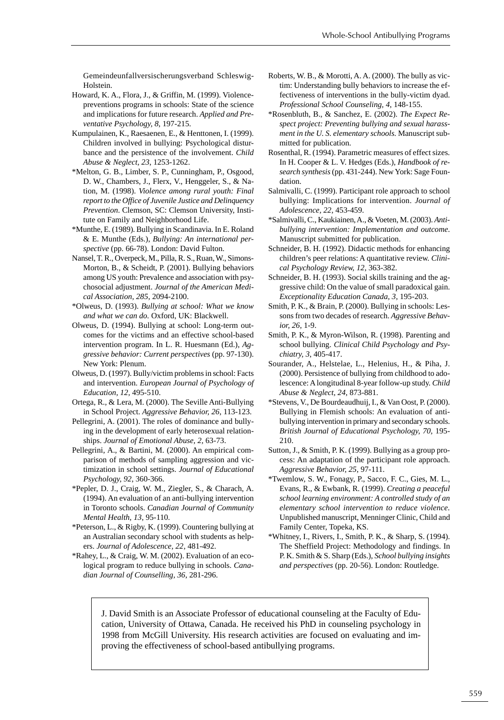Gemeindeunfallversischerungsverband Schleswig-Holstein.

- Howard, K. A., Flora, J., & Griffin, M. (1999). Violencepreventions programs in schools: State of the science and implications for future research. *Applied and Preventative Psychology, 8*, 197-215.
- Kumpulainen, K., Raesaenen, E., & Henttonen, I. (1999). Children involved in bullying: Psychological disturbance and the persistence of the involvement. *Child Abuse & Neglect, 23*, 1253-1262.
- \*Melton, G. B., Limber, S. P., Cunningham, P., Osgood, D. W., Chambers, J., Flerx, V., Henggeler, S., & Nation, M. (1998). *Violence among rural youth: Final report to the Office of Juvenile Justice and Delinquency Prevention*. Clemson, SC: Clemson University, Institute on Family and Neighborhood Life.
- \*Munthe, E. (1989). Bullying in Scandinavia. In E. Roland & E. Munthe (Eds.), *Bullying: An international perspective* (pp. 66-78). London: David Fulton.
- Nansel, T. R., Overpeck, M., Pilla, R. S., Ruan, W., Simons-Morton, B., & Scheidt, P. (2001). Bullying behaviors among US youth: Prevalence and association with psychosocial adjustment. *Journal of the American Medical Association, 285*, 2094-2100.
- \*Olweus, D. (1993). *Bullying at school: What we know and what we can do.* Oxford, UK: Blackwell.
- Olweus, D. (1994). Bullying at school: Long-term outcomes for the victims and an effective school-based intervention program. In L. R. Huesmann (Ed.), *Aggressive behavior: Current perspectives* (pp. 97-130). New York: Plenum.
- Olweus, D. (1997). Bully/victim problems in school: Facts and intervention. *European Journal of Psychology of Education, 12,* 495-510.
- Ortega, R., & Lera, M. (2000). The Seville Anti-Bullying in School Project. *Aggressive Behavior, 26*, 113-123.
- Pellegrini, A. (2001). The roles of dominance and bullying in the development of early heterosexual relationships. *Journal of Emotional Abuse, 2,* 63-73.
- Pellegrini, A., & Bartini, M. (2000). An empirical comparison of methods of sampling aggression and victimization in school settings. *Journal of Educational Psychology, 92*, 360-366.
- \*Pepler, D. J., Craig, W. M., Ziegler, S., & Charach, A. (1994). An evaluation of an anti-bullying intervention in Toronto schools. *Canadian Journal of Community Mental Health, 13*, 95-110.
- \*Peterson, L., & Rigby, K. (1999). Countering bullying at an Australian secondary school with students as helpers. *Journal of Adolescence, 22*, 481-492.
- \*Rahey, L., & Craig, W. M. (2002). Evaluation of an ecological program to reduce bullying in schools. *Canadian Journal of Counselling, 36*, 281-296.
- Roberts, W. B., & Morotti, A. A. (2000). The bully as victim: Understanding bully behaviors to increase the effectiveness of interventions in the bully-victim dyad. *Professional School Counseling, 4*, 148-155.
- \*Rosenbluth, B., & Sanchez, E. (2002). *The Expect Respect project: Preventing bullying and sexual harassment in the U. S. elementary schools.* Manuscript submitted for publication.
- Rosenthal, R. (1994). Parametric measures of effect sizes. In H. Cooper & L. V. Hedges (Eds.), *Handbook of research synthesis* (pp. 431-244). New York: Sage Foundation.
- Salmivalli, C. (1999). Participant role approach to school bullying: Implications for intervention. *Journal of Adolescence, 22*, 453-459.
- \*Salmivalli, C., Kaukiainen, A., & Voeten, M. (2003). *Antibullying intervention: Implementation and outcome*. Manuscript submitted for publication.
- Schneider, B. H. (1992). Didactic methods for enhancing children's peer relations: A quantitative review. *Clinical Psychology Review, 12*, 363-382.
- Schneider, B. H. (1993). Social skills training and the aggressive child: On the value of small paradoxical gain. *Exceptionality Education Canada, 3*, 195-203.
- Smith, P. K., & Brain, P. (2000). Bullying in schools: Lessons from two decades of research. *Aggressive Behavior, 26*, 1-9.
- Smith, P. K., & Myron-Wilson, R. (1998). Parenting and school bullying. *Clinical Child Psychology and Psychiatry, 3*, 405-417.
- Sourander, A., Helstelae, L., Helenius, H., & Piha, J. (2000). Persistence of bullying from childhood to adolescence: A longitudinal 8-year follow-up study. *Child Abuse & Neglect, 24*, 873-881.
- \*Stevens, V., De Bourdeaudhuij, I., & Van Oost, P. (2000). Bullying in Flemish schools: An evaluation of antibullying intervention in primary and secondary schools. *British Journal of Educational Psychology, 70,* 195- 210.
- Sutton, J., & Smith, P. K. (1999). Bullying as a group process: An adaptation of the participant role approach. *Aggressive Behavior, 25*, 97-111.
- \*Twemlow, S. W., Fonagy, P., Sacco, F. C., Gies, M. L., Evans, R., & Ewbank, R. (1999). *Creating a peaceful school learning environment: A controlled study of an elementary school intervention to reduce violence.* Unpublished manuscript, Menninger Clinic, Child and Family Center, Topeka, KS.
- \*Whitney, I., Rivers, I., Smith, P. K., & Sharp, S. (1994). The Sheffield Project: Methodology and findings. In P. K. Smith & S. Sharp (Eds.), *School bullying insights and perspectives* (pp. 20-56). London: Routledge.

J. David Smith is an Associate Professor of educational counseling at the Faculty of Education, University of Ottawa, Canada. He received his PhD in counseling psychology in 1998 from McGill University. His research activities are focused on evaluating and improving the effectiveness of school-based antibullying programs.